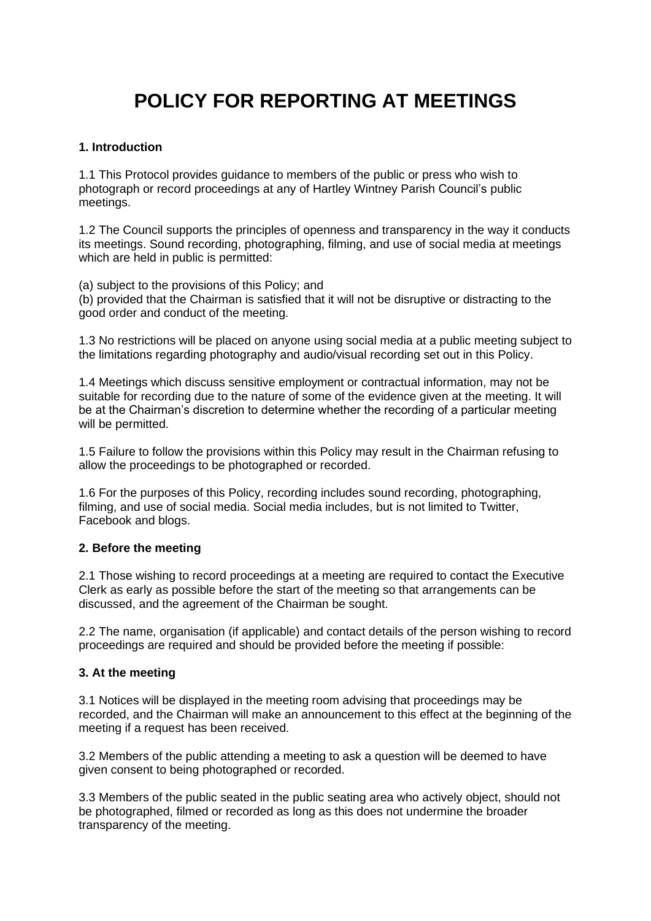# **POLICY FOR REPORTING AT MEETINGS**

## **1. Introduction**

1.1 This Protocol provides guidance to members of the public or press who wish to photograph or record proceedings at any of Hartley Wintney Parish Council's public meetings.

1.2 The Council supports the principles of openness and transparency in the way it conducts its meetings. Sound recording, photographing, filming, and use of social media at meetings which are held in public is permitted:

(a) subject to the provisions of this Policy; and (b) provided that the Chairman is satisfied that it will not be disruptive or distracting to the good order and conduct of the meeting.

1.3 No restrictions will be placed on anyone using social media at a public meeting subject to the limitations regarding photography and audio/visual recording set out in this Policy.

1.4 Meetings which discuss sensitive employment or contractual information, may not be suitable for recording due to the nature of some of the evidence given at the meeting. It will be at the Chairman's discretion to determine whether the recording of a particular meeting will be permitted.

1.5 Failure to follow the provisions within this Policy may result in the Chairman refusing to allow the proceedings to be photographed or recorded.

1.6 For the purposes of this Policy, recording includes sound recording, photographing, filming, and use of social media. Social media includes, but is not limited to Twitter, Facebook and blogs.

#### **2. Before the meeting**

2.1 Those wishing to record proceedings at a meeting are required to contact the Executive Clerk as early as possible before the start of the meeting so that arrangements can be discussed, and the agreement of the Chairman be sought.

2.2 The name, organisation (if applicable) and contact details of the person wishing to record proceedings are required and should be provided before the meeting if possible:

#### **3. At the meeting**

3.1 Notices will be displayed in the meeting room advising that proceedings may be recorded, and the Chairman will make an announcement to this effect at the beginning of the meeting if a request has been received.

3.2 Members of the public attending a meeting to ask a question will be deemed to have given consent to being photographed or recorded.

3.3 Members of the public seated in the public seating area who actively object, should not be photographed, filmed or recorded as long as this does not undermine the broader transparency of the meeting.